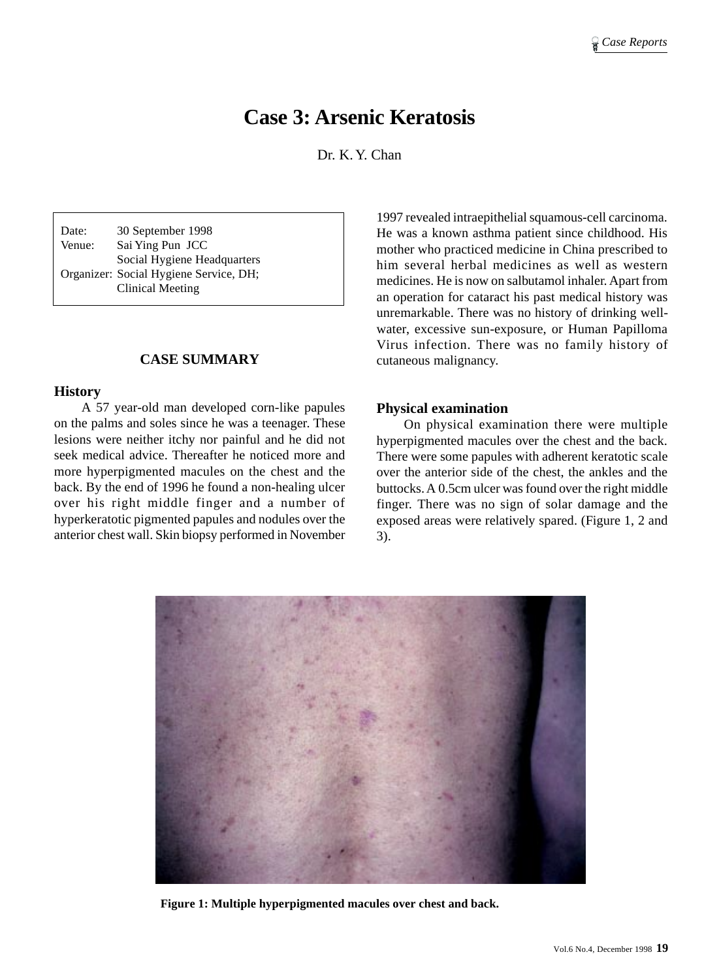# **Case 3: Arsenic Keratosis**

Dr. K. Y. Chan

Date: 30 September 1998 Venue: Sai Ying Pun JCC Social Hygiene Headquarters Organizer: Social Hygiene Service, DH; Clinical Meeting

#### **CASE SUMMARY**

#### **History**

A 57 year-old man developed corn-like papules on the palms and soles since he was a teenager. These lesions were neither itchy nor painful and he did not seek medical advice. Thereafter he noticed more and more hyperpigmented macules on the chest and the back. By the end of 1996 he found a non-healing ulcer over his right middle finger and a number of hyperkeratotic pigmented papules and nodules over the anterior chest wall. Skin biopsy performed in November 1997 revealed intraepithelial squamous-cell carcinoma. He was a known asthma patient since childhood. His mother who practiced medicine in China prescribed to him several herbal medicines as well as western medicines. He is now on salbutamol inhaler. Apart from an operation for cataract his past medical history was unremarkable. There was no history of drinking wellwater, excessive sun-exposure, or Human Papilloma Virus infection. There was no family history of cutaneous malignancy.

#### **Physical examination**

On physical examination there were multiple hyperpigmented macules over the chest and the back. There were some papules with adherent keratotic scale over the anterior side of the chest, the ankles and the buttocks. A 0.5cm ulcer was found over the right middle finger. There was no sign of solar damage and the exposed areas were relatively spared. (Figure 1, 2 and 3).



**Figure 1: Multiple hyperpigmented macules over chest and back.**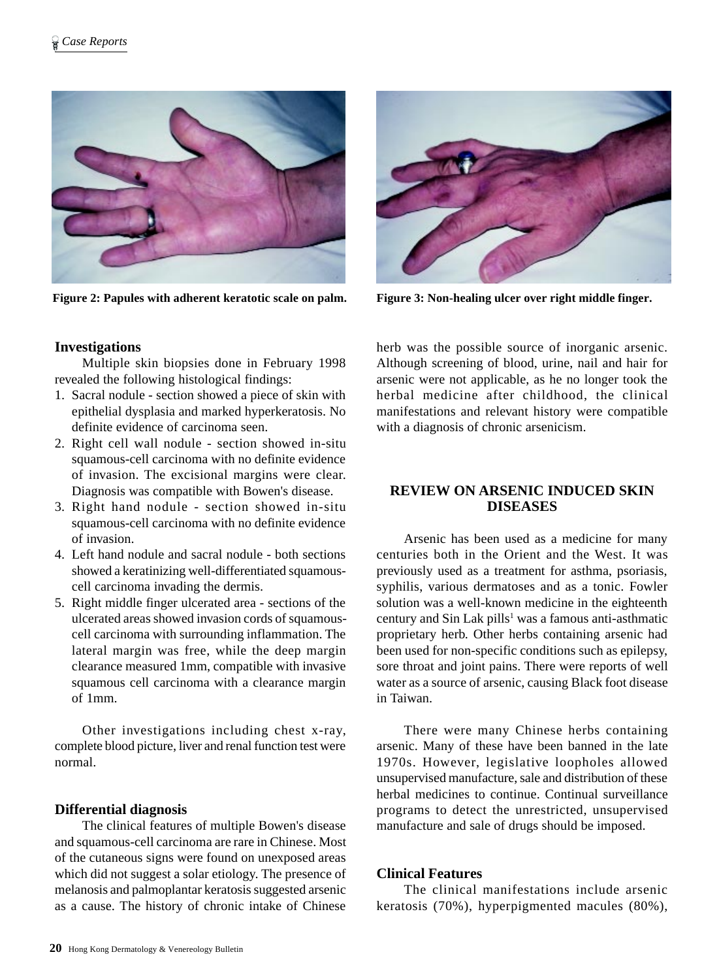

**Figure 2: Papules with adherent keratotic scale on palm. Figure 3: Non-healing ulcer over right middle finger.**



# **Investigations**

Multiple skin biopsies done in February 1998 revealed the following histological findings:

- 1. Sacral nodule section showed a piece of skin with epithelial dysplasia and marked hyperkeratosis. No definite evidence of carcinoma seen.
- 2. Right cell wall nodule section showed in-situ squamous-cell carcinoma with no definite evidence of invasion. The excisional margins were clear. Diagnosis was compatible with Bowen's disease.
- 3. Right hand nodule section showed in-situ squamous-cell carcinoma with no definite evidence of invasion.
- 4. Left hand nodule and sacral nodule both sections showed a keratinizing well-differentiated squamouscell carcinoma invading the dermis.
- 5. Right middle finger ulcerated area sections of the ulcerated areas showed invasion cords of squamouscell carcinoma with surrounding inflammation. The lateral margin was free, while the deep margin clearance measured 1mm, compatible with invasive squamous cell carcinoma with a clearance margin of 1mm.

Other investigations including chest x-ray, complete blood picture, liver and renal function test were normal.

# **Differential diagnosis**

The clinical features of multiple Bowen's disease and squamous-cell carcinoma are rare in Chinese. Most of the cutaneous signs were found on unexposed areas which did not suggest a solar etiology. The presence of melanosis and palmoplantar keratosis suggested arsenic as a cause. The history of chronic intake of Chinese

herb was the possible source of inorganic arsenic. Although screening of blood, urine, nail and hair for arsenic were not applicable, as he no longer took the herbal medicine after childhood, the clinical manifestations and relevant history were compatible with a diagnosis of chronic arsenicism.

# **REVIEW ON ARSENIC INDUCED SKIN DISEASES**

Arsenic has been used as a medicine for many centuries both in the Orient and the West. It was previously used as a treatment for asthma, psoriasis, syphilis, various dermatoses and as a tonic. Fowler solution was a well-known medicine in the eighteenth century and Sin Lak pills<sup>1</sup> was a famous anti-asthmatic proprietary herb. Other herbs containing arsenic had been used for non-specific conditions such as epilepsy, sore throat and joint pains. There were reports of well water as a source of arsenic, causing Black foot disease in Taiwan.

There were many Chinese herbs containing arsenic. Many of these have been banned in the late 1970s. However, legislative loopholes allowed unsupervised manufacture, sale and distribution of these herbal medicines to continue. Continual surveillance programs to detect the unrestricted, unsupervised manufacture and sale of drugs should be imposed.

#### **Clinical Features**

The clinical manifestations include arsenic keratosis (70%), hyperpigmented macules (80%),